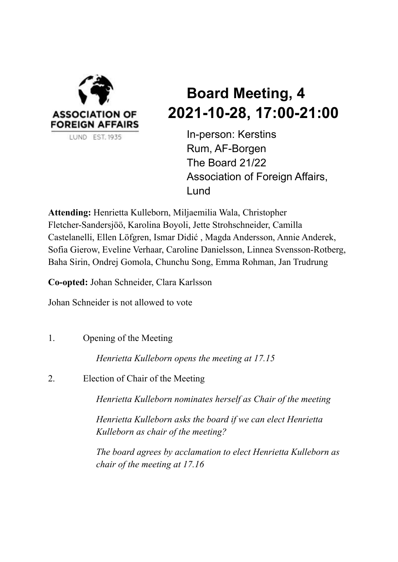

# **Board Meeting, 4 2021-10-28, 17:00-21:00**

In-person: Kerstins Rum, AF-Borgen The Board 21/22 Association of Foreign Affairs, Lund

**Attending:** Henrietta Kulleborn, Miljaemilia Wala, Christopher Fletcher-Sandersjöö, Karolina Boyoli, Jette Strohschneider, Camilla Castelanelli, Ellen Löfgren, Ismar Didić , Magda Andersson, Annie Anderek, Sofia Gierow, Eveline Verhaar, Caroline Danielsson, Linnea Svensson-Rotberg, Baha Sirin, Ondrej Gomola, Chunchu Song, Emma Rohman, Jan Trudrung

**Co-opted:** Johan Schneider, Clara Karlsson

Johan Schneider is not allowed to vote

1. Opening of the Meeting

*Henrietta Kulleborn opens the meeting at 17.15*

2. Election of Chair of the Meeting

*Henrietta Kulleborn nominates herself as Chair of the meeting*

*Henrietta Kulleborn asks the board if we can elect Henrietta Kulleborn as chair of the meeting?*

*The board agrees by acclamation to elect Henrietta Kulleborn as chair of the meeting at 17.16*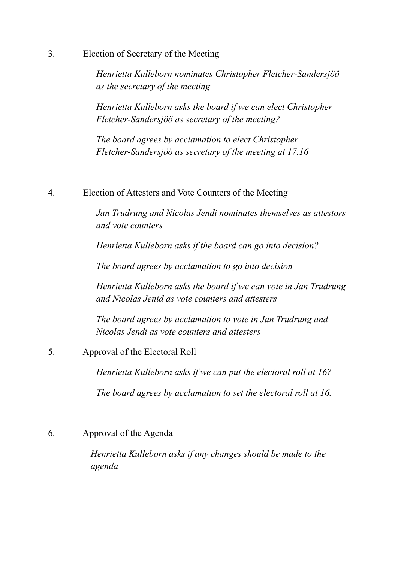3. Election of Secretary of the Meeting

*Henrietta Kulleborn nominates Christopher Fletcher-Sandersjöö as the secretary of the meeting*

*Henrietta Kulleborn asks the board if we can elect Christopher Fletcher-Sandersjöö as secretary of the meeting?*

*The board agrees by acclamation to elect Christopher Fletcher-Sandersjöö as secretary of the meeting at 17.16*

4. Election of Attesters and Vote Counters of the Meeting

*Jan Trudrung and Nicolas Jendi nominates themselves as attestors and vote counters*

*Henrietta Kulleborn asks if the board can go into decision?*

*The board agrees by acclamation to go into decision*

*Henrietta Kulleborn asks the board if we can vote in Jan Trudrung and Nicolas Jenid as vote counters and attesters*

*The board agrees by acclamation to vote in Jan Trudrung and Nicolas Jendi as vote counters and attesters*

5. Approval of the Electoral Roll

*Henrietta Kulleborn asks if we can put the electoral roll at 16?*

*The board agrees by acclamation to set the electoral roll at 16.*

6. Approval of the Agenda

*Henrietta Kulleborn asks if any changes should be made to the agenda*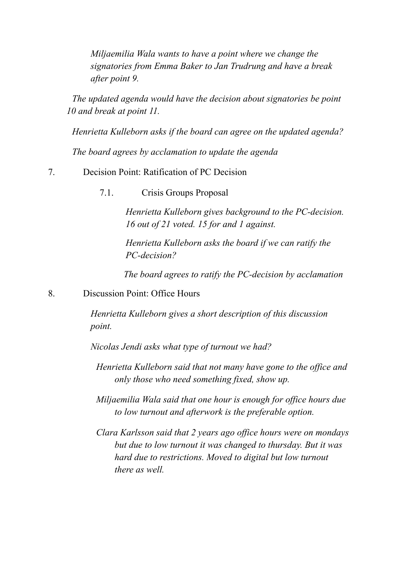*Miljaemilia Wala wants to have a point where we change the signatories from Emma Baker to Jan Trudrung and have a break after point 9.*

*The updated agenda would have the decision about signatories be point 10 and break at point 11.*

*Henrietta Kulleborn asks if the board can agree on the updated agenda?*

*The board agrees by acclamation to update the agenda*

# 7. Decision Point: Ratification of PC Decision

7.1. Crisis Groups Proposal

*Henrietta Kulleborn gives background to the PC-decision. 16 out of 21 voted. 15 for and 1 against.*

*Henrietta Kulleborn asks the board if we can ratify the PC-decision?*

*The board agrees to ratify the PC-decision by acclamation*

8. Discussion Point: Office Hours

*Henrietta Kulleborn gives a short description of this discussion point.*

*Nicolas Jendi asks what type of turnout we had?*

*Henrietta Kulleborn said that not many have gone to the of ice and only those who need something fixed, show up.*

*Miljaemilia Wala said that one hour is enough for of ice hours due to low turnout and afterwork is the preferable option.*

*Clara Karlsson said that 2 years ago of ice hours were on mondays but due to low turnout it was changed to thursday. But it was hard due to restrictions. Moved to digital but low turnout there as well.*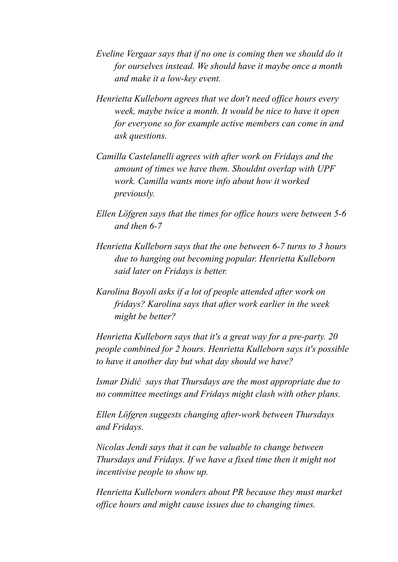- *Eveline Vergaar says that if no one is coming then we should do it for ourselves instead. We should have it maybe once a month and make it a low-key event.*
- *Henrietta Kulleborn agrees that we don't need of ice hours every week, maybe twice a month. It would be nice to have it open for everyone so for example active members can come in and ask questions.*
- *Camilla Castelanelli agrees with after work on Fridays and the amount of times we have them. Shouldnt overlap with UPF work. Camilla wants more info about how it worked previously.*
- *Ellen Löfgren says that the times for of ice hours were between 5-6 and then 6-7*
- *Henrietta Kulleborn says that the one between 6-7 turns to 3 hours due to hanging out becoming popular. Henrietta Kulleborn said later on Fridays is better.*
- *Karolina Boyoli asks if a lot of people attended after work on fridays? Karolina says that after work earlier in the week might be better?*

*Henrietta Kulleborn says that it's a great way for a pre-party. 20 people combined for 2 hours. Henrietta Kulleborn says it's possible to have it another day but what day should we have?*

*Ismar Didić says that Thursdays are the most appropriate due to no committee meetings and Fridays might clash with other plans.*

*Ellen Löfgren suggests changing after-work between Thursdays and Fridays.*

*Nicolas Jendi says that it can be valuable to change between Thursdays and Fridays. If we have a fixed time then it might not incentivise people to show up.*

*Henrietta Kulleborn wonders about PR because they must market of ice hours and might cause issues due to changing times.*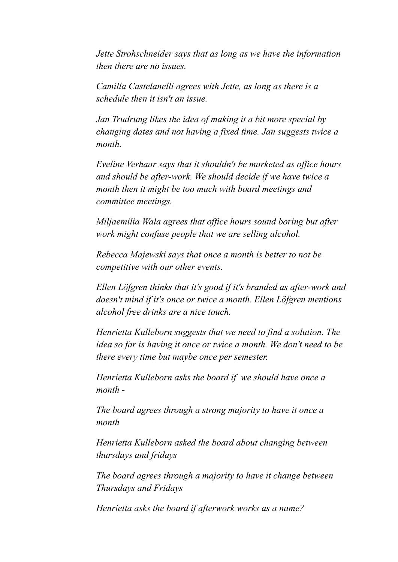*Jette Strohschneider says that as long as we have the information then there are no issues.*

*Camilla Castelanelli agrees with Jette, as long as there is a schedule then it isn't an issue.*

*Jan Trudrung likes the idea of making it a bit more special by changing dates and not having a fixed time. Jan suggests twice a month.*

*Eveline Verhaar says that it shouldn't be marketed as of ice hours and should be after-work. We should decide if we have twice a month then it might be too much with board meetings and committee meetings.*

*Miljaemilia Wala agrees that of ice hours sound boring but after work might confuse people that we are selling alcohol.*

*Rebecca Majewski says that once a month is better to not be competitive with our other events.*

*Ellen Löfgren thinks that it's good if it's branded as after-work and doesn't mind if it's once or twice a month. Ellen Löfgren mentions alcohol free drinks are a nice touch.*

*Henrietta Kulleborn suggests that we need to find a solution. The idea so far is having it once or twice a month. We don't need to be there every time but maybe once per semester.*

*Henrietta Kulleborn asks the board if we should have once a month -*

*The board agrees through a strong majority to have it once a month*

*Henrietta Kulleborn asked the board about changing between thursdays and fridays*

*The board agrees through a majority to have it change between Thursdays and Fridays*

*Henrietta asks the board if afterwork works as a name?*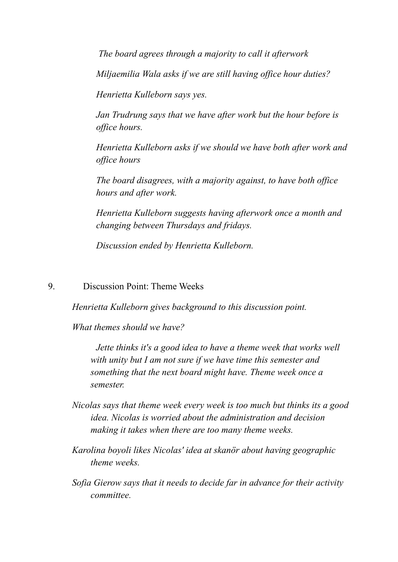*The board agrees through a majority to call it afterwork*

*Miljaemilia Wala asks if we are still having of ice hour duties?*

*Henrietta Kulleborn says yes.*

*Jan Trudrung says that we have after work but the hour before is of ice hours.*

*Henrietta Kulleborn asks if we should we have both after work and of ice hours*

*The board disagrees, with a majority against, to have both of ice hours and after work.*

*Henrietta Kulleborn suggests having afterwork once a month and changing between Thursdays and fridays.*

*Discussion ended by Henrietta Kulleborn.*

9. Discussion Point: Theme Weeks

*Henrietta Kulleborn gives background to this discussion point.*

*What themes should we have?*

*Jette thinks it's a good idea to have a theme week that works well with unity but I am not sure if we have time this semester and something that the next board might have. Theme week once a semester.*

- *Nicolas says that theme week every week is too much but thinks its a good idea. Nicolas is worried about the administration and decision making it takes when there are too many theme weeks.*
- *Karolina boyoli likes Nicolas' idea at skanör about having geographic theme weeks.*
- *Sofia Gierow says that it needs to decide far in advance for their activity committee.*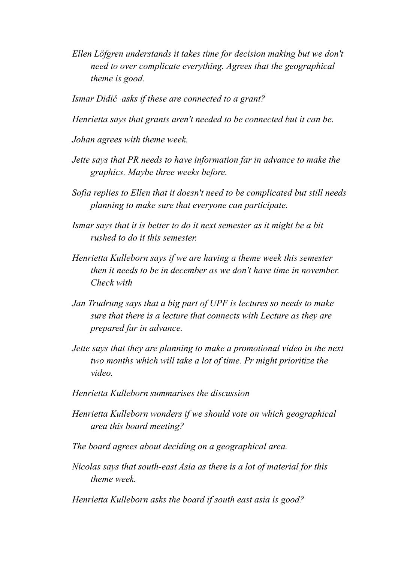*Ellen Löfgren understands it takes time for decision making but we don't need to over complicate everything. Agrees that the geographical theme is good.*

*Ismar Didić asks if these are connected to a grant?*

*Henrietta says that grants aren't needed to be connected but it can be.*

*Johan agrees with theme week.*

- *Jette says that PR needs to have information far in advance to make the graphics. Maybe three weeks before.*
- *Sofia replies to Ellen that it doesn't need to be complicated but still needs planning to make sure that everyone can participate.*
- *Ismar says that it is better to do it next semester as it might be a bit rushed to do it this semester.*
- *Henrietta Kulleborn says if we are having a theme week this semester then it needs to be in december as we don't have time in november. Check with*
- *Jan Trudrung says that a big part of UPF is lectures so needs to make sure that there is a lecture that connects with Lecture as they are prepared far in advance.*
- *Jette says that they are planning to make a promotional video in the next two months which will take a lot of time. Pr might prioritize the video.*
- *Henrietta Kulleborn summarises the discussion*
- *Henrietta Kulleborn wonders if we should vote on which geographical area this board meeting?*
- *The board agrees about deciding on a geographical area.*
- *Nicolas says that south-east Asia as there is a lot of material for this theme week.*
- *Henrietta Kulleborn asks the board if south east asia is good?*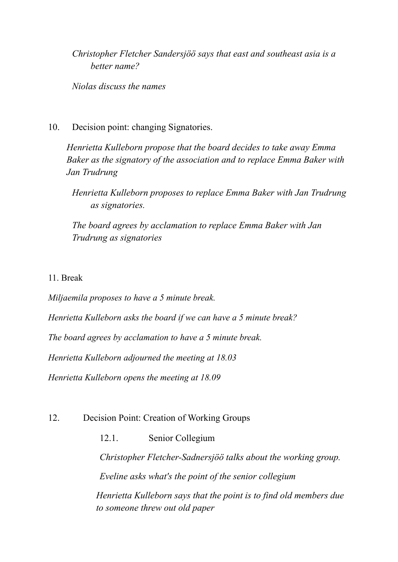*Christopher Fletcher Sandersjöö says that east and southeast asia is a better name?*

*Niolas discuss the names*

10. Decision point: changing Signatories.

*Henrietta Kulleborn propose that the board decides to take away Emma Baker as the signatory of the association and to replace Emma Baker with Jan Trudrung*

*Henrietta Kulleborn proposes to replace Emma Baker with Jan Trudrung as signatories.*

*The board agrees by acclamation to replace Emma Baker with Jan Trudrung as signatories*

# 11. Break

*Miljaemila proposes to have a 5 minute break.*

*Henrietta Kulleborn asks the board if we can have a 5 minute break?*

*The board agrees by acclamation to have a 5 minute break.*

*Henrietta Kulleborn adjourned the meeting at 18.03*

*Henrietta Kulleborn opens the meeting at 18.09*

# 12. Decision Point: Creation of Working Groups

12.1. Senior Collegium

*Christopher Fletcher-Sadnersjöö talks about the working group. Eveline asks what's the point of the senior collegium*

*Henrietta Kulleborn says that the point is to find old members due to someone threw out old paper*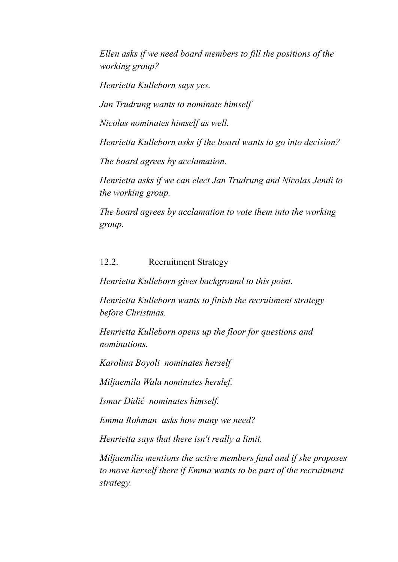*Ellen asks if we need board members to fill the positions of the working group?*

*Henrietta Kulleborn says yes.*

*Jan Trudrung wants to nominate himself*

*Nicolas nominates himself as well.*

*Henrietta Kulleborn asks if the board wants to go into decision?*

*The board agrees by acclamation.*

*Henrietta asks if we can elect Jan Trudrung and Nicolas Jendi to the working group.*

*The board agrees by acclamation to vote them into the working group.*

# 12.2. Recruitment Strategy

*Henrietta Kulleborn gives background to this point.*

*Henrietta Kulleborn wants to finish the recruitment strategy before Christmas.*

*Henrietta Kulleborn opens up the floor for questions and nominations.*

*Karolina Boyoli nominates herself*

*Miljaemila Wala nominates herslef.*

*Ismar Didić nominates himself.*

*Emma Rohman asks how many we need?*

*Henrietta says that there isn't really a limit.*

*Miljaemilia mentions the active members fund and if she proposes to move herself there if Emma wants to be part of the recruitment strategy.*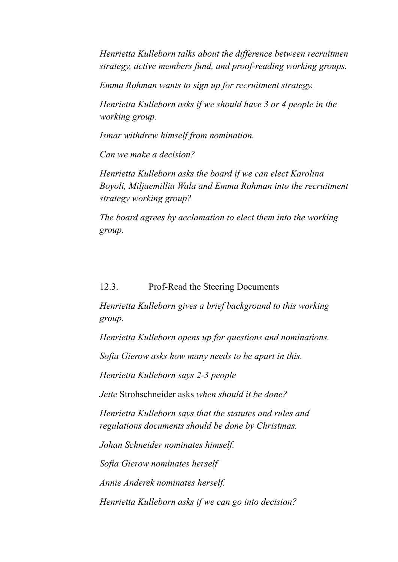*Henrietta Kulleborn talks about the dif erence between recruitmen strategy, active members fund, and proof-reading working groups.*

*Emma Rohman wants to sign up for recruitment strategy.*

*Henrietta Kulleborn asks if we should have 3 or 4 people in the working group.*

*Ismar withdrew himself from nomination.*

*Can we make a decision?*

*Henrietta Kulleborn asks the board if we can elect Karolina Boyoli, Miljaemillia Wala and Emma Rohman into the recruitment strategy working group?*

*The board agrees by acclamation to elect them into the working group.*

12.3. Prof-Read the Steering Documents

*Henrietta Kulleborn gives a brief background to this working group.*

*Henrietta Kulleborn opens up for questions and nominations.*

*Sofia Gierow asks how many needs to be apart in this.*

*Henrietta Kulleborn says 2-3 people*

*Jette* Strohschneider asks *when should it be done?*

*Henrietta Kulleborn says that the statutes and rules and regulations documents should be done by Christmas.*

*Johan Schneider nominates himself.*

*Sofia Gierow nominates herself*

*Annie Anderek nominates herself.*

*Henrietta Kulleborn asks if we can go into decision?*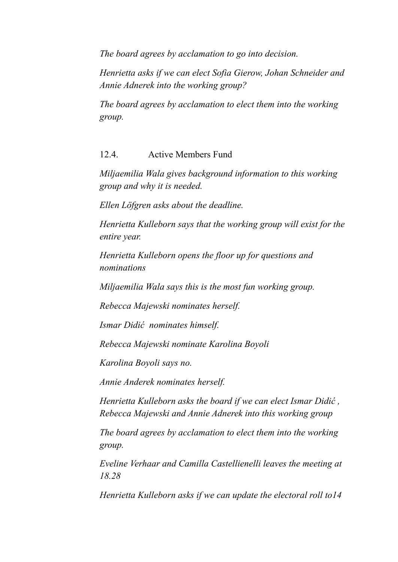*The board agrees by acclamation to go into decision.*

*Henrietta asks if we can elect Sofia Gierow, Johan Schneider and Annie Adnerek into the working group?*

*The board agrees by acclamation to elect them into the working group.*

# 12.4. Active Members Fund

*Miljaemilia Wala gives background information to this working group and why it is needed.*

*Ellen Löfgren asks about the deadline.*

*Henrietta Kulleborn says that the working group will exist for the entire year.*

*Henrietta Kulleborn opens the floor up for questions and nominations*

*Miljaemilia Wala says this is the most fun working group.*

*Rebecca Majewski nominates herself.*

*Ismar Didić nominates himself.*

*Rebecca Majewski nominate Karolina Boyoli*

*Karolina Boyoli says no.*

*Annie Anderek nominates herself.*

*Henrietta Kulleborn asks the board if we can elect Ismar Didić , Rebecca Majewski and Annie Adnerek into this working group*

*The board agrees by acclamation to elect them into the working group.*

*Eveline Verhaar and Camilla Castellienelli leaves the meeting at 18.28*

*Henrietta Kulleborn asks if we can update the electoral roll to14*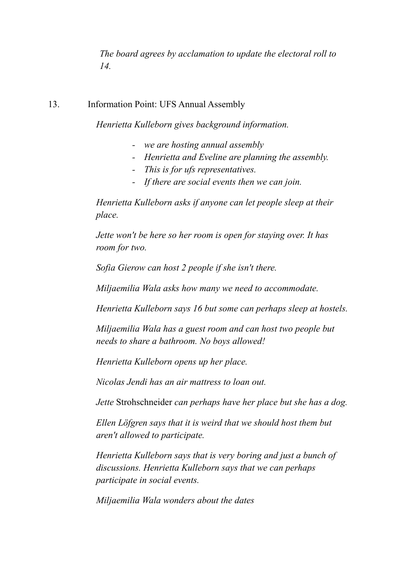*The board agrees by acclamation to update the electoral roll to 14.*

## 13. Information Point: UFS Annual Assembly

*Henrietta Kulleborn gives background information.*

- *- we are hosting annual assembly*
- *- Henrietta and Eveline are planning the assembly.*
- *- This is for ufs representatives.*
- *- If there are social events then we can join.*

*Henrietta Kulleborn asks if anyone can let people sleep at their place.*

*Jette won't be here so her room is open for staying over. It has room for two.*

*Sofia Gierow can host 2 people if she isn't there.*

*Miljaemilia Wala asks how many we need to accommodate.*

*Henrietta Kulleborn says 16 but some can perhaps sleep at hostels.*

*Miljaemilia Wala has a guest room and can host two people but needs to share a bathroom. No boys allowed!*

*Henrietta Kulleborn opens up her place.*

*Nicolas Jendi has an air mattress to loan out.*

*Jette* Strohschneider *can perhaps have her place but she has a dog.*

*Ellen Löfgren says that it is weird that we should host them but aren't allowed to participate.*

*Henrietta Kulleborn says that is very boring and just a bunch of discussions. Henrietta Kulleborn says that we can perhaps participate in social events.*

*Miljaemilia Wala wonders about the dates*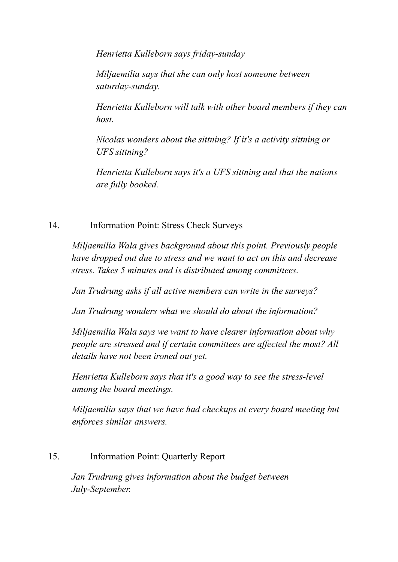*Henrietta Kulleborn says friday-sunday*

*Miljaemilia says that she can only host someone between saturday-sunday.*

*Henrietta Kulleborn will talk with other board members if they can host.*

*Nicolas wonders about the sittning? If it's a activity sittning or UFS sittning?*

*Henrietta Kulleborn says it's a UFS sittning and that the nations are fully booked.*

# 14. Information Point: Stress Check Surveys

*Miljaemilia Wala gives background about this point. Previously people have dropped out due to stress and we want to act on this and decrease stress. Takes 5 minutes and is distributed among committees.*

*Jan Trudrung asks if all active members can write in the surveys?*

*Jan Trudrung wonders what we should do about the information?*

*Miljaemilia Wala says we want to have clearer information about why people are stressed and if certain committees are af ected the most? All details have not been ironed out yet.*

*Henrietta Kulleborn says that it's a good way to see the stress-level among the board meetings.*

*Miljaemilia says that we have had checkups at every board meeting but enforces similar answers.*

# 15. Information Point: Quarterly Report

*Jan Trudrung gives information about the budget between July-September.*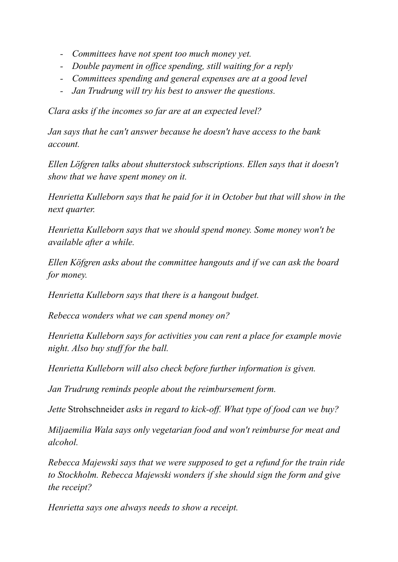- *- Committees have not spent too much money yet.*
- *- Double payment in of ice spending, still waiting for a reply*
- *- Committees spending and general expenses are at a good level*
- *- Jan Trudrung will try his best to answer the questions.*

*Clara asks if the incomes so far are at an expected level?*

*Jan says that he can't answer because he doesn't have access to the bank account.*

*Ellen Löfgren talks about shutterstock subscriptions. Ellen says that it doesn't show that we have spent money on it.*

*Henrietta Kulleborn says that he paid for it in October but that will show in the next quarter.*

*Henrietta Kulleborn says that we should spend money. Some money won't be available after a while.*

*Ellen Köfgren asks about the committee hangouts and if we can ask the board for money.*

*Henrietta Kulleborn says that there is a hangout budget.*

*Rebecca wonders what we can spend money on?*

*Henrietta Kulleborn says for activities you can rent a place for example movie night. Also buy stuf for the ball.*

*Henrietta Kulleborn will also check before further information is given.*

*Jan Trudrung reminds people about the reimbursement form.*

*Jette* Strohschneider *asks in regard to kick-of . What type of food can we buy?*

*Miljaemilia Wala says only vegetarian food and won't reimburse for meat and alcohol.*

*Rebecca Majewski says that we were supposed to get a refund for the train ride to Stockholm. Rebecca Majewski wonders if she should sign the form and give the receipt?*

*Henrietta says one always needs to show a receipt.*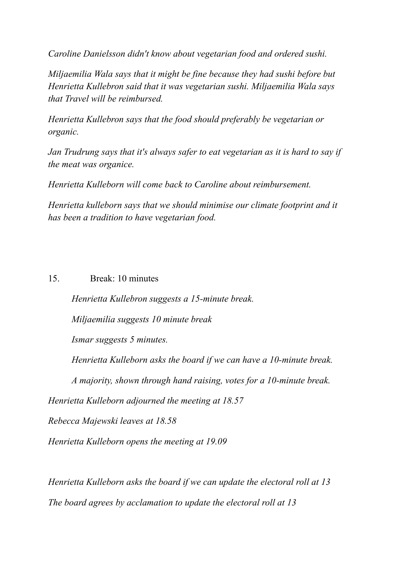*Caroline Danielsson didn't know about vegetarian food and ordered sushi.*

*Miljaemilia Wala says that it might be fine because they had sushi before but Henrietta Kullebron said that it was vegetarian sushi. Miljaemilia Wala says that Travel will be reimbursed.*

*Henrietta Kullebron says that the food should preferably be vegetarian or organic.*

*Jan Trudrung says that it's always safer to eat vegetarian as it is hard to say if the meat was organice.*

*Henrietta Kulleborn will come back to Caroline about reimbursement.*

*Henrietta kulleborn says that we should minimise our climate footprint and it has been a tradition to have vegetarian food.*

15. Break: 10 minutes

*Henrietta Kullebron suggests a 15-minute break.*

*Miljaemilia suggests 10 minute break*

*Ismar suggests 5 minutes.*

*Henrietta Kulleborn asks the board if we can have a 10-minute break.*

*A majority, shown through hand raising, votes for a 10-minute break.*

*Henrietta Kulleborn adjourned the meeting at 18.57*

*Rebecca Majewski leaves at 18.58*

*Henrietta Kulleborn opens the meeting at 19.09*

*Henrietta Kulleborn asks the board if we can update the electoral roll at 13 The board agrees by acclamation to update the electoral roll at 13*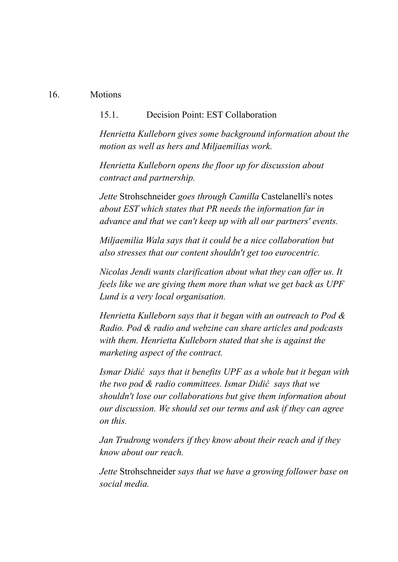#### 16. Motions

#### 15.1. Decision Point: EST Collaboration

*Henrietta Kulleborn gives some background information about the motion as well as hers and Miljaemilias work.*

*Henrietta Kulleborn opens the floor up for discussion about contract and partnership.*

*Jette* Strohschneider *goes through Camilla* Castelanelli's notes *about EST which states that PR needs the information far in advance and that we can't keep up with all our partners' events.*

*Miljaemilia Wala says that it could be a nice collaboration but also stresses that our content shouldn't get too eurocentric.*

*Nicolas Jendi wants clarification about what they can of er us. It feels like we are giving them more than what we get back as UPF Lund is a very local organisation.*

*Henrietta Kulleborn says that it began with an outreach to Pod & Radio. Pod & radio and webzine can share articles and podcasts with them. Henrietta Kulleborn stated that she is against the marketing aspect of the contract.*

*Ismar Didić says that it benefits UPF as a whole but it began with the two pod & radio committees. Ismar Didić says that we shouldn't lose our collaborations but give them information about our discussion. We should set our terms and ask if they can agree on this.*

*Jan Trudrong wonders if they know about their reach and if they know about our reach.*

*Jette* Strohschneider *says that we have a growing follower base on social media.*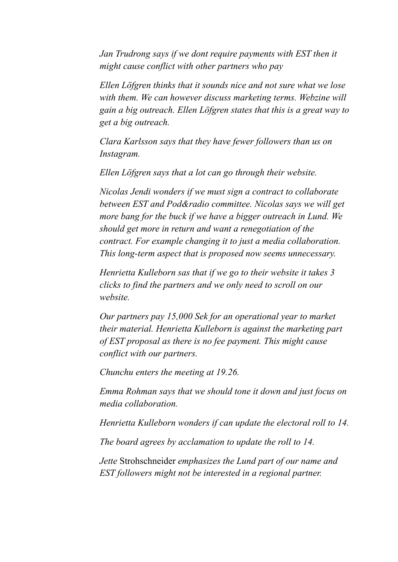*Jan Trudrong says if we dont require payments with EST then it might cause conflict with other partners who pay*

*Ellen Löfgren thinks that it sounds nice and not sure what we lose with them. We can however discuss marketing terms. Webzine will gain a big outreach. Ellen Löfgren states that this is a great way to get a big outreach.*

*Clara Karlsson says that they have fewer followers than us on Instagram.*

*Ellen Löfgren says that a lot can go through their website.*

*Nicolas Jendi wonders if we must sign a contract to collaborate between EST and Pod&radio committee. Nicolas says we will get more bang for the buck if we have a bigger outreach in Lund. We should get more in return and want a renegotiation of the contract. For example changing it to just a media collaboration. This long-term aspect that is proposed now seems unnecessary.*

*Henrietta Kulleborn sas that if we go to their website it takes 3 clicks to find the partners and we only need to scroll on our website.*

*Our partners pay 15,000 Sek for an operational year to market their material. Henrietta Kulleborn is against the marketing part of EST proposal as there is no fee payment. This might cause conflict with our partners.*

*Chunchu enters the meeting at 19.26.*

*Emma Rohman says that we should tone it down and just focus on media collaboration.*

*Henrietta Kulleborn wonders if can update the electoral roll to 14.*

*The board agrees by acclamation to update the roll to 14.*

*Jette* Strohschneider *emphasizes the Lund part of our name and EST followers might not be interested in a regional partner.*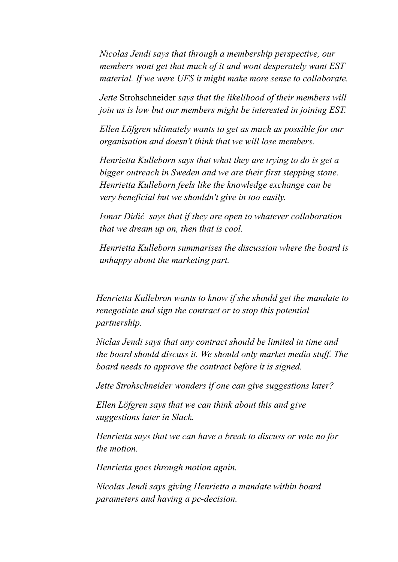*Nicolas Jendi says that through a membership perspective, our members wont get that much of it and wont desperately want EST material. If we were UFS it might make more sense to collaborate.*

*Jette* Strohschneider *says that the likelihood of their members will join us is low but our members might be interested in joining EST.*

*Ellen Löfgren ultimately wants to get as much as possible for our organisation and doesn't think that we will lose members.*

*Henrietta Kulleborn says that what they are trying to do is get a bigger outreach in Sweden and we are their first stepping stone. Henrietta Kulleborn feels like the knowledge exchange can be very beneficial but we shouldn't give in too easily.*

*Ismar Didić says that if they are open to whatever collaboration that we dream up on, then that is cool.*

*Henrietta Kulleborn summarises the discussion where the board is unhappy about the marketing part.*

*Henrietta Kullebron wants to know if she should get the mandate to renegotiate and sign the contract or to stop this potential partnership.*

*Niclas Jendi says that any contract should be limited in time and the board should discuss it. We should only market media stuf . The board needs to approve the contract before it is signed.*

*Jette Strohschneider wonders if one can give suggestions later?*

*Ellen Löfgren says that we can think about this and give suggestions later in Slack.*

*Henrietta says that we can have a break to discuss or vote no for the motion.*

*Henrietta goes through motion again.*

*Nicolas Jendi says giving Henrietta a mandate within board parameters and having a pc-decision.*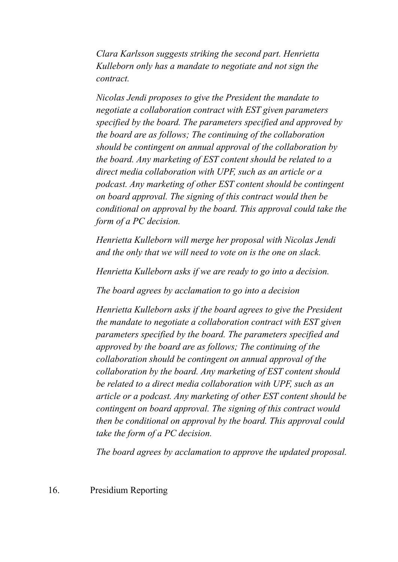*Clara Karlsson suggests striking the second part. Henrietta Kulleborn only has a mandate to negotiate and not sign the contract.*

*Nicolas Jendi proposes to give the President the mandate to negotiate a collaboration contract with EST given parameters specified by the board. The parameters specified and approved by the board are as follows; The continuing of the collaboration should be contingent on annual approval of the collaboration by the board. Any marketing of EST content should be related to a direct media collaboration with UPF, such as an article or a podcast. Any marketing of other EST content should be contingent on board approval. The signing of this contract would then be conditional on approval by the board. This approval could take the form of a PC decision.*

*Henrietta Kulleborn will merge her proposal with Nicolas Jendi and the only that we will need to vote on is the one on slack.*

*Henrietta Kulleborn asks if we are ready to go into a decision.*

*The board agrees by acclamation to go into a decision*

*Henrietta Kulleborn asks if the board agrees to give the President the mandate to negotiate a collaboration contract with EST given parameters specified by the board. The parameters specified and approved by the board are as follows; The continuing of the collaboration should be contingent on annual approval of the collaboration by the board. Any marketing of EST content should be related to a direct media collaboration with UPF, such as an article or a podcast. Any marketing of other EST content should be contingent on board approval. The signing of this contract would then be conditional on approval by the board. This approval could take the form of a PC decision.*

*The board agrees by acclamation to approve the updated proposal.*

16. Presidium Reporting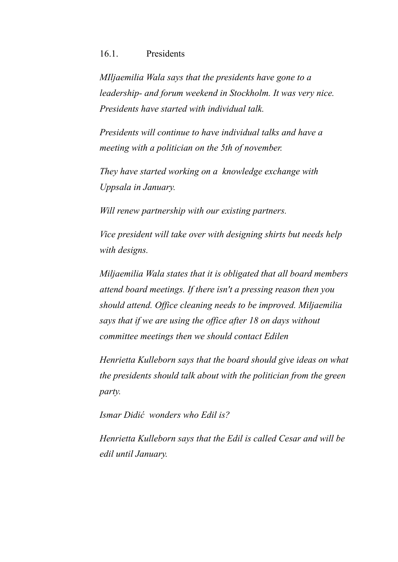#### 16.1. Presidents

*MIljaemilia Wala says that the presidents have gone to a leadership- and forum weekend in Stockholm. It was very nice. Presidents have started with individual talk.*

*Presidents will continue to have individual talks and have a meeting with a politician on the 5th of november.*

*They have started working on a knowledge exchange with Uppsala in January.*

*Will renew partnership with our existing partners.*

*Vice president will take over with designing shirts but needs help with designs.*

*Miljaemilia Wala states that it is obligated that all board members attend board meetings. If there isn't a pressing reason then you should attend. Of ice cleaning needs to be improved. Miljaemilia says that if we are using the of ice after 18 on days without committee meetings then we should contact Edilen*

*Henrietta Kulleborn says that the board should give ideas on what the presidents should talk about with the politician from the green party.*

*Ismar Didić wonders who Edil is?*

*Henrietta Kulleborn says that the Edil is called Cesar and will be edil until January.*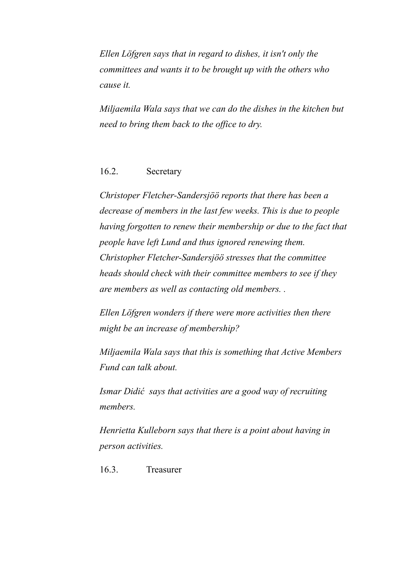*Ellen Löfgren says that in regard to dishes, it isn't only the committees and wants it to be brought up with the others who cause it.*

*Miljaemila Wala says that we can do the dishes in the kitchen but need to bring them back to the of ice to dry.*

#### 16.2. Secretary

*Christoper Fletcher-Sandersjöö reports that there has been a decrease of members in the last few weeks. This is due to people having forgotten to renew their membership or due to the fact that people have left Lund and thus ignored renewing them. Christopher Fletcher-Sandersjöö stresses that the committee heads should check with their committee members to see if they are members as well as contacting old members. .*

*Ellen Löfgren wonders if there were more activities then there might be an increase of membership?*

*Miljaemila Wala says that this is something that Active Members Fund can talk about.*

*Ismar Didić says that activities are a good way of recruiting members.*

*Henrietta Kulleborn says that there is a point about having in person activities.*

16.3. Treasurer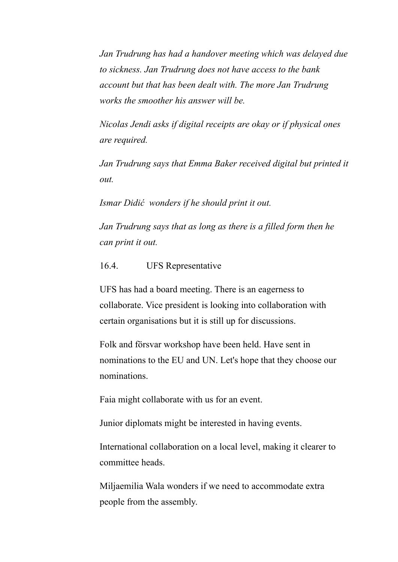*Jan Trudrung has had a handover meeting which was delayed due to sickness. Jan Trudrung does not have access to the bank account but that has been dealt with. The more Jan Trudrung works the smoother his answer will be.*

*Nicolas Jendi asks if digital receipts are okay or if physical ones are required.*

*Jan Trudrung says that Emma Baker received digital but printed it out.*

*Ismar Didić wonders if he should print it out.*

*Jan Trudrung says that as long as there is a filled form then he can print it out.*

16.4. UFS Representative

UFS has had a board meeting. There is an eagerness to collaborate. Vice president is looking into collaboration with certain organisations but it is still up for discussions.

Folk and försvar workshop have been held. Have sent in nominations to the EU and UN. Let's hope that they choose our nominations.

Faia might collaborate with us for an event.

Junior diplomats might be interested in having events.

International collaboration on a local level, making it clearer to committee heads.

Miljaemilia Wala wonders if we need to accommodate extra people from the assembly.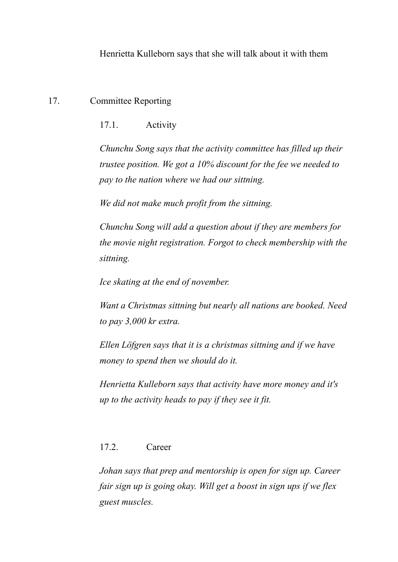Henrietta Kulleborn says that she will talk about it with them

# 17. Committee Reporting

17.1. Activity

*Chunchu Song says that the activity committee has filled up their trustee position. We got a 10% discount for the fee we needed to pay to the nation where we had our sittning.*

*We did not make much profit from the sittning.*

*Chunchu Song will add a question about if they are members for the movie night registration. Forgot to check membership with the sittning.*

*Ice skating at the end of november.*

*Want a Christmas sittning but nearly all nations are booked. Need to pay 3,000 kr extra.*

*Ellen Löfgren says that it is a christmas sittning and if we have money to spend then we should do it.*

*Henrietta Kulleborn says that activity have more money and it's up to the activity heads to pay if they see it fit.*

# 17.2. Career

*Johan says that prep and mentorship is open for sign up. Career fair sign up is going okay. Will get a boost in sign ups if we flex guest muscles.*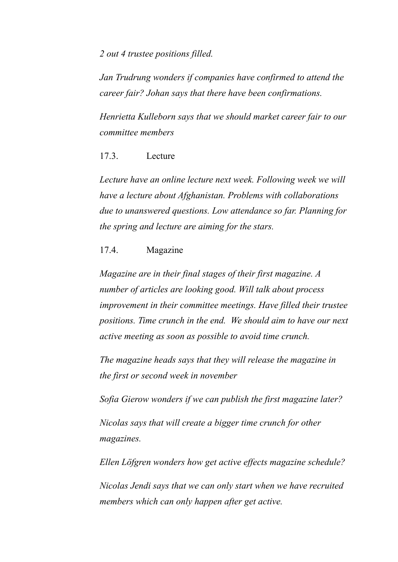*2 out 4 trustee positions filled.*

*Jan Trudrung wonders if companies have confirmed to attend the career fair? Johan says that there have been confirmations.*

*Henrietta Kulleborn says that we should market career fair to our committee members*

17.3. Lecture

*Lecture have an online lecture next week. Following week we will have a lecture about Afghanistan. Problems with collaborations due to unanswered questions. Low attendance so far. Planning for the spring and lecture are aiming for the stars.*

### 17.4. Magazine

*Magazine are in their final stages of their first magazine. A number of articles are looking good. Will talk about process improvement in their committee meetings. Have filled their trustee positions. Time crunch in the end. We should aim to have our next active meeting as soon as possible to avoid time crunch.*

*The magazine heads says that they will release the magazine in the first or second week in november*

*Sofia Gierow wonders if we can publish the first magazine later?*

*Nicolas says that will create a bigger time crunch for other magazines.*

*Ellen Löfgren wonders how get active ef ects magazine schedule?*

*Nicolas Jendi says that we can only start when we have recruited members which can only happen after get active.*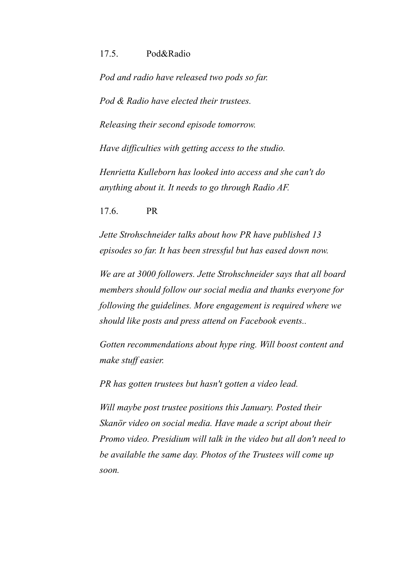#### 17.5. Pod&Radio

*Pod and radio have released two pods so far.*

*Pod & Radio have elected their trustees.*

*Releasing their second episode tomorrow.*

*Have dif iculties with getting access to the studio.*

*Henrietta Kulleborn has looked into access and she can't do anything about it. It needs to go through Radio AF.*

17.6. PR

*Jette Strohschneider talks about how PR have published 13 episodes so far. It has been stressful but has eased down now.*

*We are at 3000 followers. Jette Strohschneider says that all board members should follow our social media and thanks everyone for following the guidelines. More engagement is required where we should like posts and press attend on Facebook events..*

*Gotten recommendations about hype ring. Will boost content and make stuf easier.*

*PR has gotten trustees but hasn't gotten a video lead.*

*Will maybe post trustee positions this January. Posted their Skanör video on social media. Have made a script about their Promo video. Presidium will talk in the video but all don't need to be available the same day. Photos of the Trustees will come up soon.*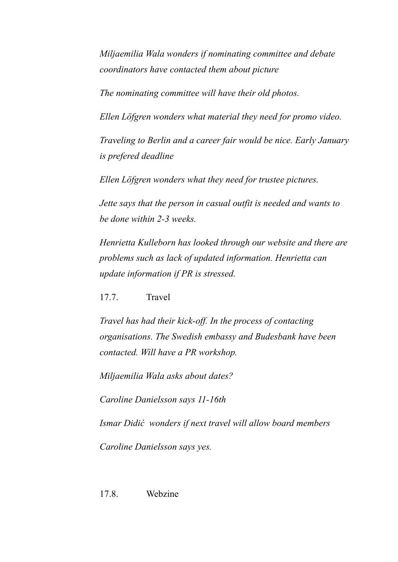*Miljaemilia Wala wonders if nominating committee and debate coordinators have contacted them about picture*

*The nominating committee will have their old photos.*

*Ellen Löfgren wonders what material they need for promo video.*

*Traveling to Berlin and a career fair would be nice. Early January is prefered deadline*

*Ellen Löfgren wonders what they need for trustee pictures.*

*Jette says that the person in casual outfit is needed and wants to be done within 2-3 weeks.*

*Henrietta Kulleborn has looked through our website and there are problems such as lack of updated information. Henrietta can update information if PR is stressed.*

17.7. Travel

*Travel has had their kick-of . In the process of contacting organisations. The Swedish embassy and Budesbank have been contacted. Will have a PR workshop.*

*Miljaemilia Wala asks about dates?*

*Caroline Danielsson says 11-16th*

*Ismar Didić wonders if next travel will allow board members*

*Caroline Danielsson says yes.*

17.8. Webzine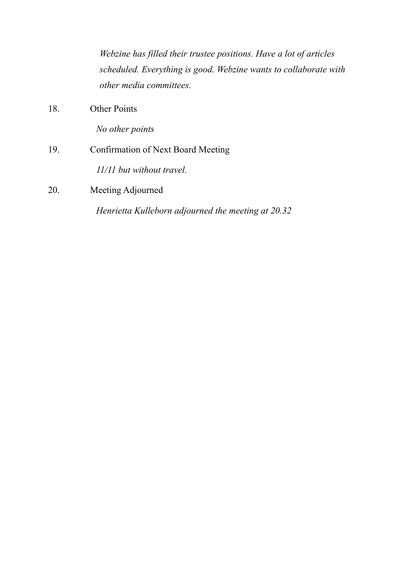|     | Webzine has filled their trustee positions. Have a lot of articles                          |
|-----|---------------------------------------------------------------------------------------------|
|     | scheduled. Everything is good. Webzine wants to collaborate with<br>other media committees. |
| 18. | <b>Other Points</b>                                                                         |
|     | No other points                                                                             |
| 19. | Confirmation of Next Board Meeting                                                          |
|     | 11/11 but without travel.                                                                   |
| 20. | Meeting Adjourned                                                                           |
|     | Henrietta Kulleborn adjourned the meeting at 20.32                                          |